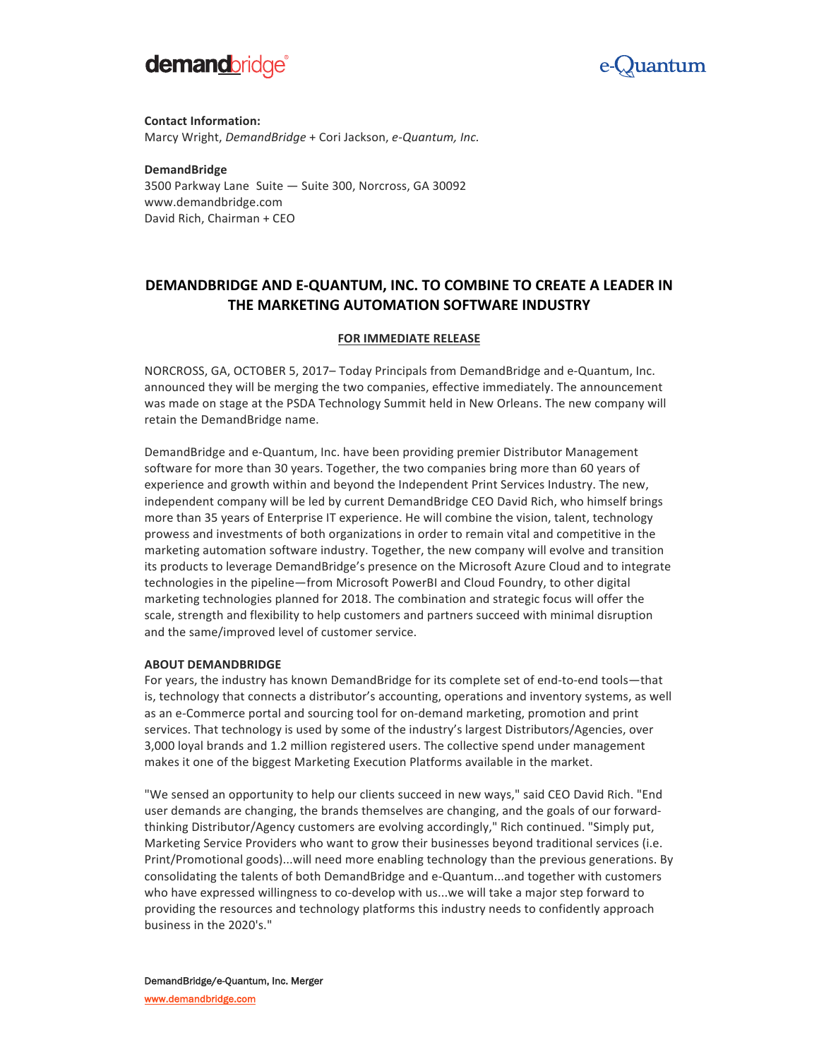



**Contact Information:** Marcy Wright, *DemandBridge* + Cori Jackson, e-Quantum, Inc.

**DemandBridge** 3500 Parkway Lane Suite - Suite 300, Norcross, GA 30092 www.demandbridge.com David Rich, Chairman + CEO

# **DEMANDBRIDGE AND E-QUANTUM, INC. TO COMBINE TO CREATE A LEADER IN THE MARKETING AUTOMATION SOFTWARE INDUSTRY**

## **FOR IMMEDIATE RELEASE**

NORCROSS, GA, OCTOBER 5, 2017– Today Principals from DemandBridge and e-Quantum, Inc. announced they will be merging the two companies, effective immediately. The announcement was made on stage at the PSDA Technology Summit held in New Orleans. The new company will retain the DemandBridge name.

DemandBridge and e-Quantum, Inc. have been providing premier Distributor Management software for more than 30 years. Together, the two companies bring more than 60 years of experience and growth within and beyond the Independent Print Services Industry. The new, independent company will be led by current DemandBridge CEO David Rich, who himself brings more than 35 years of Enterprise IT experience. He will combine the vision, talent, technology prowess and investments of both organizations in order to remain vital and competitive in the marketing automation software industry. Together, the new company will evolve and transition its products to leverage DemandBridge's presence on the Microsoft Azure Cloud and to integrate technologies in the pipeline—from Microsoft PowerBI and Cloud Foundry, to other digital marketing technologies planned for 2018. The combination and strategic focus will offer the scale, strength and flexibility to help customers and partners succeed with minimal disruption and the same/improved level of customer service.

#### **ABOUT DEMANDBRIDGE**

For years, the industry has known DemandBridge for its complete set of end-to-end tools—that is, technology that connects a distributor's accounting, operations and inventory systems, as well as an e-Commerce portal and sourcing tool for on-demand marketing, promotion and print services. That technology is used by some of the industry's largest Distributors/Agencies, over 3,000 loyal brands and 1.2 million registered users. The collective spend under management makes it one of the biggest Marketing Execution Platforms available in the market.

"We sensed an opportunity to help our clients succeed in new ways," said CEO David Rich. "End user demands are changing, the brands themselves are changing, and the goals of our forwardthinking Distributor/Agency customers are evolving accordingly," Rich continued. "Simply put, Marketing Service Providers who want to grow their businesses beyond traditional services (i.e. Print/Promotional goods)...will need more enabling technology than the previous generations. By consolidating the talents of both DemandBridge and e-Quantum...and together with customers who have expressed willingness to co-develop with us...we will take a major step forward to providing the resources and technology platforms this industry needs to confidently approach business in the 2020's."

DemandBridge/e-Quantum, Inc. Merger www.demandbridge.com